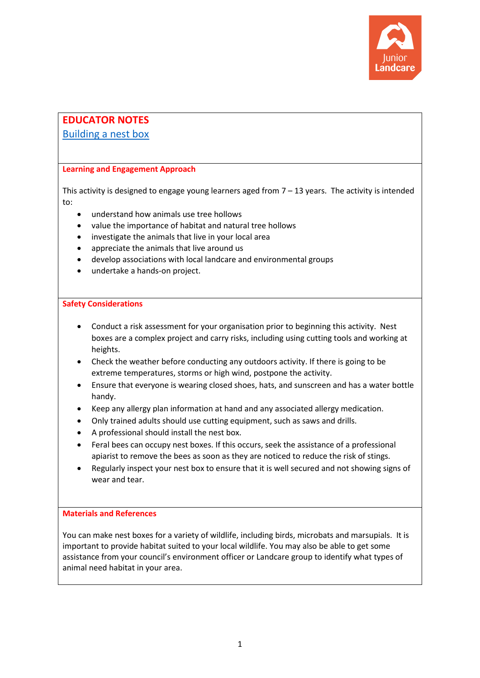

# **EDUCATOR NOTES**

# [Building a nest box](https://juniorlandcare.org.au/learning_activity/building-a-nest-box/)

# **Learning and Engagement Approach**

This activity is designed to engage young learners aged from  $7 - 13$  years. The activity is intended to:

- understand how animals use tree hollows
- value the importance of habitat and natural tree hollows
- investigate the animals that live in your local area
- appreciate the animals that live around us
- develop associations with local landcare and environmental groups
- undertake a hands-on project.

# **Safety Considerations**

- Conduct a risk assessment for your organisation prior to beginning this activity. Nest boxes are a complex project and carry risks, including using cutting tools and working at heights.
- Check the weather before conducting any outdoors activity. If there is going to be extreme temperatures, storms or high wind, postpone the activity.
- Ensure that everyone is wearing closed shoes, hats, and sunscreen and has a water bottle handy.
- Keep any allergy plan information at hand and any associated allergy medication.
- Only trained adults should use cutting equipment, such as saws and drills.
- A professional should install the nest box.
- Feral bees can occupy nest boxes. If this occurs, seek the assistance of a professional apiarist to remove the bees as soon as they are noticed to reduce the risk of stings.
- Regularly inspect your nest box to ensure that it is well secured and not showing signs of wear and tear.

# **Materials and References**

You can make nest boxes for a variety of wildlife, including birds, microbats and marsupials. It is important to provide habitat suited to your local wildlife. You may also be able to get some assistance from your council's environment officer or Landcare group to identify what types of animal need habitat in your area.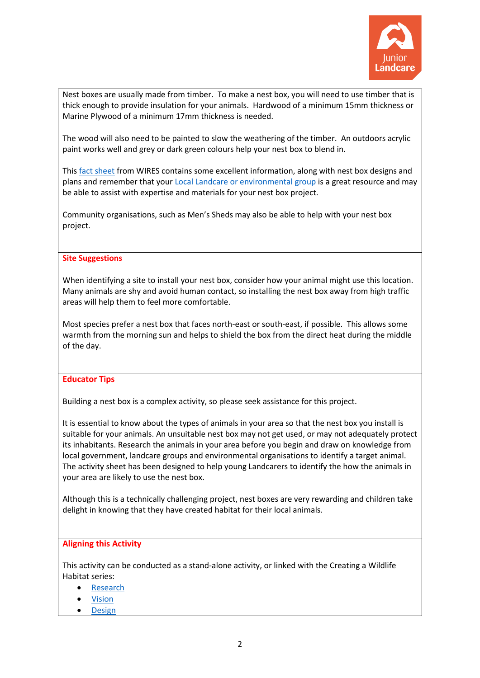

Nest boxes are usually made from timber. To make a nest box, you will need to use timber that is thick enough to provide insulation for your animals. Hardwood of a minimum 15mm thickness or Marine Plywood of a minimum 17mm thickness is needed.

The wood will also need to be painted to slow the weathering of the timber. An outdoors acrylic paint works well and grey or dark green colours help your nest box to blend in.

This [fact sheet](https://www.wires.org.au/wildlife-info/wildlife-factsheets/Wildlife-Nest-Boxes-LLS.pdf) from WIRES contains some excellent information, along with nest box designs and plans and remember that your [Local Landcare or environmental group](https://landcareaustralia.org.au/landcare-get-involved/findagroup/) is a great resource and may be able to assist with expertise and materials for your nest box project.

Community organisations, such as Men's Sheds may also be able to help with your nest box project.

#### **Site Suggestions**

When identifying a site to install your nest box, consider how your animal might use this location. Many animals are shy and avoid human contact, so installing the nest box away from high traffic areas will help them to feel more comfortable.

Most species prefer a nest box that faces north-east or south-east, if possible. This allows some warmth from the morning sun and helps to shield the box from the direct heat during the middle of the day.

# **Educator Tips**

Building a nest box is a complex activity, so please seek assistance for this project.

It is essential to know about the types of animals in your area so that the nest box you install is suitable for your animals. An unsuitable nest box may not get used, or may not adequately protect its inhabitants. Research the animals in your area before you begin and draw on knowledge from local government, landcare groups and environmental organisations to identify a target animal. The activity sheet has been designed to help young Landcarers to identify the how the animals in your area are likely to use the nest box.

Although this is a technically challenging project, nest boxes are very rewarding and children take delight in knowing that they have created habitat for their local animals.

#### **Aligning this Activity**

This activity can be conducted as a stand-alone activity, or linked with the Creating a Wildlife Habitat series:

- **[Research](https://juniorlandcare.org.au/learning_activity/creating-a-wildlife-habitat-research/?age=)**
- [Vision](https://juniorlandcare.org.au/learning_activity/creating-a-wildlife-habitat-vision/?age=)
- [Design](https://juniorlandcare.org.au/learning_activity/creating-a-wildlife-habitat-design/?age=)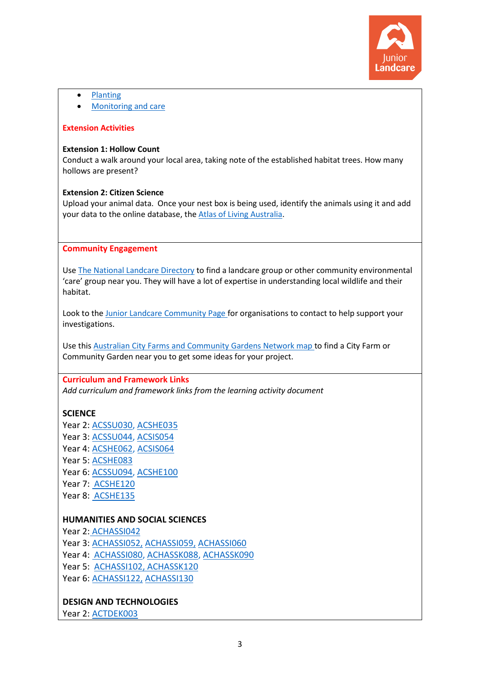

• [Planting](https://juniorlandcare.org.au/learning_activity/creating-a-wildlife-habitat-planting/?age=)

• [Monitoring and care](https://juniorlandcare.org.au/learning_activity/creating-a-wildlife-habitat-monitoring-and-care/?age=)

#### **Extension Activities**

#### **Extension 1: Hollow Count**

Conduct a walk around your local area, taking note of the established habitat trees. How many hollows are present?

#### **Extension 2: Citizen Science**

Upload your animal data. Once your nest box is being used, identify the animals using it and add your data to the online database, the [Atlas of Living Australia.](https://www.ala.org.au/)

#### **Community Engagement**

Use [The National Landcare Directory](https://landcareaustralia.org.au/landcare-get-involved/findagroup/) to find a landcare group or other community environmental 'care' group near you. They will have a lot of expertise in understanding local wildlife and their habitat.

Look to the [Junior Landcare Community Page](https://juniorlandcare.org.au/junior-landcare-community/) for organisations to contact to help support your investigations.

Use thi[s Australian City Farms and Community Gardens Network map](http://directory.communitygarden.org.au/) to find a City Farm or Community Garden near you to get some ideas for your project.

#### **Curriculum and Framework Links**

*Add curriculum and framework links from the learning activity document*

# **SCIENCE**

Year 2: [ACSSU030,](http://www.scootle.edu.au/ec/search?accContentId=ACSSU030) [ACSHE035](http://www.scootle.edu.au/ec/search?accContentId=ACSHE035) Year 3: [ACSSU044,](http://www.australiancurriculum.edu.au/Curriculum/ContentDescription/ACSSU044) [ACSIS054](http://www.scootle.edu.au/ec/search?accContentId=ACSIS054) Year 4: [ACSHE062,](http://www.scootle.edu.au/ec/search?accContentId=ACSHE062) [ACSIS064](http://www.scootle.edu.au/ec/search?q=ACSIS064&field=title&field=text.all&field=topic) Year 5: [ACSHE083](http://www.scootle.edu.au/ec/search?accContentId=ACSHE083) Year 6: [ACSSU094,](http://www.scootle.edu.au/ec/search?q=ACHASSI102&field=title&field=text.all&field=topic) [ACSHE100](http://www.scootle.edu.au/ec/search?accContentId=ACSHE100) Year 7: ACSHE120 Year 8: ACSHE135

# **HUMANITIES AND SOCIAL SCIENCES**

Year 2: [ACHASSI042](http://www.scootle.edu.au/ec/search?accContentId=ACHASSI042) Year 3: [ACHASSI052,](https://www.scootle.edu.au/ec/search?q=ACHASSI052+&field=title&field=text.all&field=topic&v=text) [ACHASSI059,](https://www.scootle.edu.au/ec/search?q=ACHASSI059&field=title&field=text.all&field=topic&v=text) [ACHASSI060](http://www.scootle.edu.au/ec/search?accContentId=ACHASSI060) Year 4: [ACHASSI080,](https://www.scootle.edu.au/ec/search?q=ACHASSI080&field=title&field=text.all&field=topic&v=text) [ACHASSK088,](http://www.scootle.edu.au/ec/search?accContentId=ACHASSK088) [ACHASSK090](http://www.scootle.edu.au/ec/search?accContentId=ACHASSK090) Year 5: [ACHASSI102,](http://www.scootle.edu.au/ec/search?q=ACHASSI102&field=title&field=text.all&field=topic) [ACHASSK120](http://www.australiancurriculum.edu.au/Curriculum/ContentDescription/ACHASSK120) Year 6: [ACHASSI122,](https://www.scootle.edu.au/ec/search?q=ACHASSI122&field=title&field=text.all&field=topic&v=text) [ACHASSI130](https://www.scootle.edu.au/ec/search?q=ACHASSI130&field=title&field=text.all&field=topic&v=text)

# **DESIGN AND TECHNOLOGIES**

Year 2: [ACTDEK003](http://www.scootle.edu.au/ec/search?accContentId=ACTDEK003)